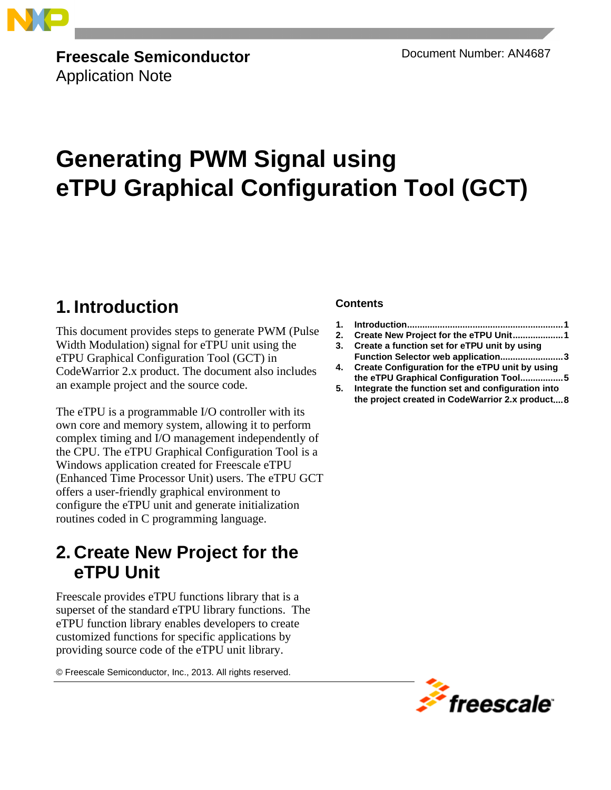

**Freescale Semiconductor** Document Number: AN4687 Application Note

# **Generating PWM Signal using eTPU Graphical Configuration Tool (GCT)**

## <span id="page-0-0"></span>**1. Introduction**

This document provides steps to generate PWM (Pulse Width Modulation) signal for eTPU unit using the eTPU Graphical Configuration Tool (GCT) in CodeWarrior 2.x product. The document also includes an example project and the source code.

The eTPU is a programmable I/O controller with its own core and memory system, allowing it to perform complex timing and I/O management independently of the CPU. The eTPU Graphical Configuration Tool is a Windows application created for Freescale eTPU (Enhanced Time Processor Unit) users. The eTPU GCT offers a user-friendly graphical environment to configure the eTPU unit and generate initialization routines coded in C programming language.

## <span id="page-0-1"></span>**2. Create New Project for the eTPU Unit**

Freescale provides eTPU functions library that is a superset of the standard eTPU library functions. The eTPU function library enables developers to create customized functions for specific applications by providing source code of the eTPU unit library.

© Freescale Semiconductor, Inc., 2013. All rights reserved.

### **Contents**

- **1. [Introduction..............................................................1](#page-0-0)**
- **2. [Create New Project for the eTPU Unit....................1](#page-0-1)**
- **3. [Create a function set for eTPU unit by using](#page-2-0)  [Function Selector web application.........................3](#page-2-0)**
- **4. [Create Configuration for the eTPU unit by using](#page-4-0)  [the eTPU Graphical Configuration Tool.................5](#page-4-0)**
- **5. [Integrate the function set and configuration into](#page-7-0)  [the project created in CodeWarrior 2.x product....8](#page-7-0)**

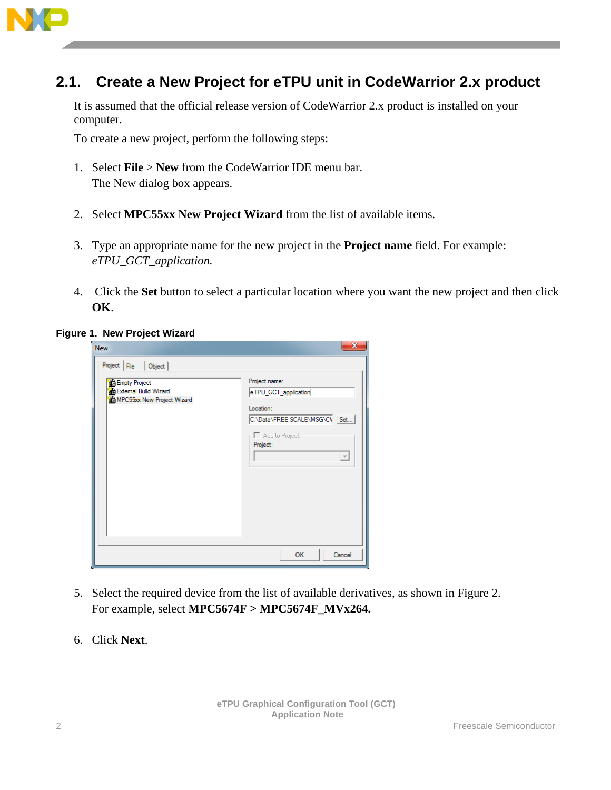

## **2.1. Create a New Project for eTPU unit in CodeWarrior 2.x product**

It is assumed that the official release version of CodeWarrior 2.x product is installed on your computer.

To create a new project, perform the following steps:

- 1. Select **File** > **New** from the CodeWarrior IDE menu bar. The New dialog box appears.
- 2. Select **MPC55xx New Project Wizard** from the list of available items.
- 3. Type an appropriate name for the new project in the **Project name** field. For example: *eTPU\_GCT\_application.*
- 4. Click the **Set** button to select a particular location where you want the new project and then click **OK**.

#### **Figure 1. New Project Wizard**

| <b>New</b><br>Project File<br>Object<br><b>Empty Project</b><br><b>B</b> External Build Wizard<br>MPC55xx New Project Wizard | $\overline{\mathbf{x}}$<br>Project name:<br>eTPU_GCT_application<br>Location:<br>C:\Data\FREE SCALE\MSG\C\ Set<br>$\Box$ Add to Project: '<br>Project:<br>$\overline{\phantom{a}}$ |
|------------------------------------------------------------------------------------------------------------------------------|------------------------------------------------------------------------------------------------------------------------------------------------------------------------------------|
|                                                                                                                              | OK<br>Cancel                                                                                                                                                                       |

- 5. Select the required device from the list of available derivatives, as shown in Figure 2. For example, select **MPC5674F > MPC5674F\_MVx264.**
- 6. Click **Next**.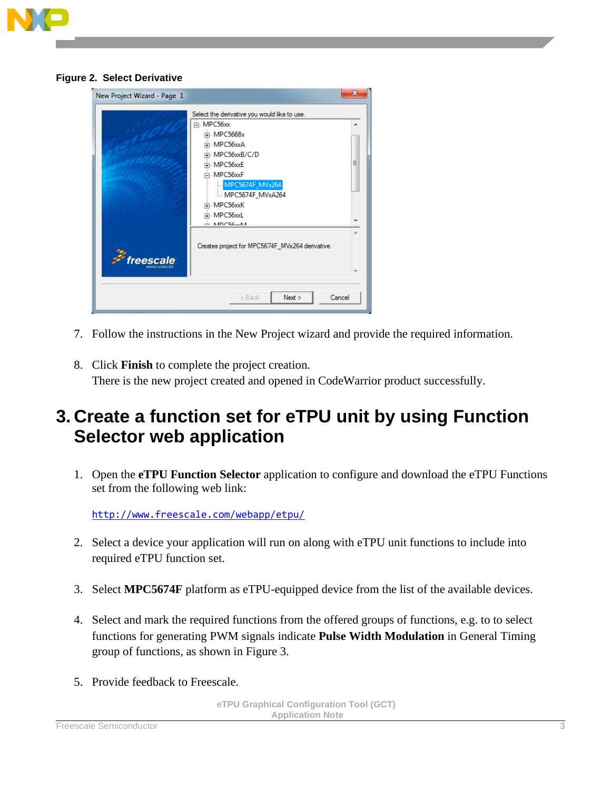

|  |  |  | <b>Figure 2. Select Derivative</b> |
|--|--|--|------------------------------------|
|--|--|--|------------------------------------|

|                  | Select the derivative you would like to use.    |    |
|------------------|-------------------------------------------------|----|
|                  | i≕ MPC56xx                                      | ▴  |
|                  | 中 MPC5668x                                      |    |
|                  | 中 MPC56xxA                                      |    |
|                  | in MPC56xxB/C/D                                 |    |
|                  | Fi-MPC56xxE                                     | Ξ  |
|                  | i MPC56xxF                                      |    |
|                  | MPC5674F_MVx264                                 |    |
|                  | <b>MPC5674F_MVxA264</b>                         |    |
|                  | Fi-MPC56xxK                                     |    |
|                  | Fi-MPC56xxL                                     |    |
|                  | $A$ MDC56 $M$                                   |    |
|                  |                                                 | ×. |
|                  | Creates project for MPC5674F_MVx264 derivative. |    |
| <i>freescale</i> |                                                 |    |
|                  |                                                 |    |
|                  |                                                 |    |

- 7. Follow the instructions in the New Project wizard and provide the required information.
- 8. Click **Finish** to complete the project creation. There is the new project created and opened in CodeWarrior product successfully.

## <span id="page-2-0"></span>**3. Create a function set for eTPU unit by using Function Selector web application**

1. Open the **eTPU Function Selector** application to configure and download the eTPU Functions set from the following web link:

<http://www.freescale.com/webapp/etpu/>

- 2. Select a device your application will run on along with eTPU unit functions to include into required eTPU function set.
- 3. Select **MPC5674F** platform as eTPU-equipped device from the list of the available devices.
- 4. Select and mark the required functions from the offered groups of functions, e.g. to to select functions for generating PWM signals indicate **Pulse Width Modulation** in General Timing group of functions, as shown in Figure 3.
- 5. Provide feedback to Freescale.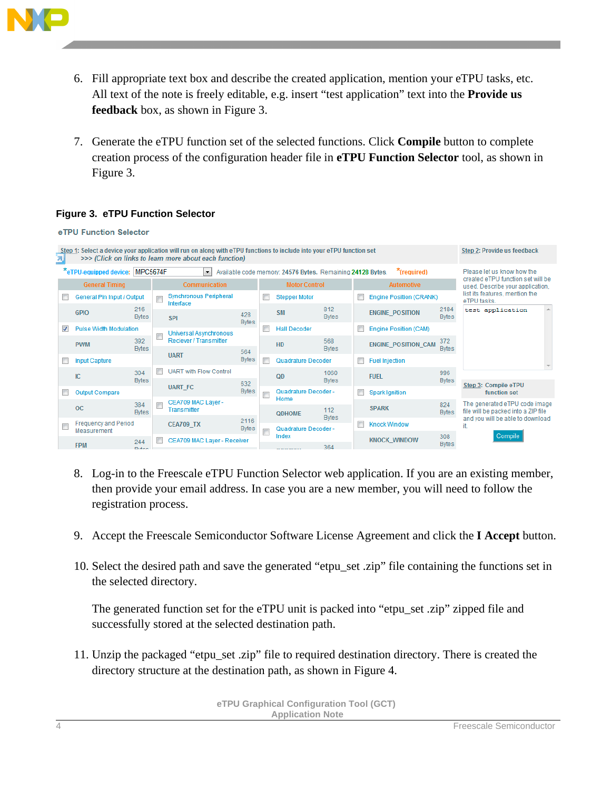

- 6. Fill appropriate text box and describe the created application, mention your eTPU tasks, etc. All text of the note is freely editable, e.g. insert "test application" text into the **Provide us feedback** box, as shown in Figure 3.
- 7. Generate the eTPU function set of the selected functions. Click **Compile** button to complete creation process of the configuration header file in **eTPU Function Selector** tool, as shown in Figure 3.

### **Figure 3. eTPU Function Selector**

|                          |                          | e TPU Function Selector         |                     |               |                                                                                                                                                                                 |                      |                              |                                                            |                     |                                |                                  |                      |                                                                      |  |
|--------------------------|--------------------------|---------------------------------|---------------------|---------------|---------------------------------------------------------------------------------------------------------------------------------------------------------------------------------|----------------------|------------------------------|------------------------------------------------------------|---------------------|--------------------------------|----------------------------------|----------------------|----------------------------------------------------------------------|--|
|                          |                          |                                 |                     |               | Step 1: Select a device your application will run on along with eTPU functions to include into your eTPU function set<br>>>> (Click on links to learn more about each function) |                      |                              |                                                            |                     |                                |                                  |                      | Step 2: Provide us feedback                                          |  |
|                          |                          | *eTPU-equipped device: MPC5674F |                     |               | $\left  \cdot \right $                                                                                                                                                          |                      |                              | Available code memory: 24576 Bytes. Remaining 24128 Bytes. |                     |                                | "(required)                      |                      | Please let us know how the<br>created eTPU function set will be      |  |
|                          |                          | <b>General Timing</b>           |                     | Communication |                                                                                                                                                                                 |                      | <b>Motor Control</b>         |                                                            | <b>Automotive</b>   |                                | used. Describe your application. |                      |                                                                      |  |
| Г                        |                          | General Pin Input / Output      |                     |               | <b>Synchronous Peripheral</b><br>Interface                                                                                                                                      |                      |                              | <b>Stepper Motor</b>                                       |                     | <b>Engine Position (CRANK)</b> |                                  |                      | list its features, mention the<br>eTPU tasks.                        |  |
|                          |                          | <b>GPIO</b>                     | 216<br><b>Bytes</b> |               | <b>SPI</b>                                                                                                                                                                      | 428<br><b>Bytes</b>  |                              | <b>SM</b>                                                  | 812<br><b>Bytes</b> |                                | <b>ENGINE POSITION</b>           | 2184<br><b>Bytes</b> | test application<br>A.                                               |  |
|                          | $\overline{\mathcal{L}}$ | <b>Pulse Width Modulation</b>   |                     |               | Universal Asynchronous                                                                                                                                                          |                      |                              | <b>Hall Decoder</b>                                        |                     | $\Box$                         | <b>Engine Position (CAM)</b>     |                      |                                                                      |  |
|                          |                          | <b>PWM</b>                      | 392<br><b>Bytes</b> |               | <b>Reciever / Transmitter</b>                                                                                                                                                   |                      |                              | HD                                                         | 568<br><b>Bytes</b> |                                | <b>ENGINE POSITION CAM</b>       | 372<br><b>Bytes</b>  |                                                                      |  |
|                          | $\blacksquare$           | <b>Input Capture</b>            |                     |               | <b>UART</b>                                                                                                                                                                     | 564<br><b>Bytes</b>  |                              | Quadrature Decoder                                         |                     | $\Box$                         | <b>Fuel Injection</b>            |                      |                                                                      |  |
|                          |                          | IC                              | 304                 |               | <b>UART with Flow Control</b>                                                                                                                                                   |                      |                              | QD                                                         | 1060                |                                | <b>FUEL</b>                      | 996                  |                                                                      |  |
|                          |                          |                                 | <b>Bytes</b>        |               | <b>UART FC</b>                                                                                                                                                                  | 632                  |                              |                                                            | <b>Bytes</b>        |                                |                                  | <b>Bytes</b>         | Step 3: Compile eTPU                                                 |  |
|                          | $\Box$                   | <b>Output Compare</b>           |                     |               | <b>Bytes</b>                                                                                                                                                                    | E                    | Quadrature Decoder -<br>Home |                                                            |                     | <b>Spark Ignition</b>          |                                  | function set         |                                                                      |  |
|                          |                          | <b>OC</b>                       | 384<br><b>Bytes</b> |               | CEA709 MAC Laver -<br>Transmitter                                                                                                                                               |                      |                              | <b>QDHOME</b>                                              | 112                 |                                | <b>SPARK</b>                     | 824<br><b>Bytes</b>  | The generated eTPU code image<br>file will be packed into a ZIP file |  |
| $\overline{\phantom{a}}$ |                          | <b>Frequency and Period</b>     |                     |               | <b>CEA709_TX</b>                                                                                                                                                                | 2116<br><b>Bytes</b> |                              | Quadrature Decoder -                                       | <b>Bytes</b>        | Г                              | <b>Knock Window</b>              |                      | and you will be able to download                                     |  |
|                          |                          | Measurement<br><b>FPM</b>       | 244<br><b>Didoo</b> |               | CEA709 MAC Laver - Receiver                                                                                                                                                     | Г                    |                              | Index<br><b>CONTRACTOR</b>                                 | 364                 |                                | <b>KNOCK WINDOW</b>              | 308<br><b>Bytes</b>  | Compile                                                              |  |

- 8. Log-in to the Freescale eTPU Function Selector web application. If you are an existing member, then provide your email address. In case you are a new member, you will need to follow the registration process.
- 9. Accept the Freescale Semiconductor Software License Agreement and click the **I Accept** button.
- 10. Select the desired path and save the generated "etpu\_set .zip" file containing the functions set in the selected directory.

The generated function set for the eTPU unit is packed into "etpu\_set .zip" zipped file and successfully stored at the selected destination path.

11. Unzip the packaged "etpu\_set .zip" file to required destination directory. There is created the directory structure at the destination path, as shown in Figure 4.

> **eTPU Graphical Configuration Tool (GCT) Application Note**

4 Freescale Semiconductor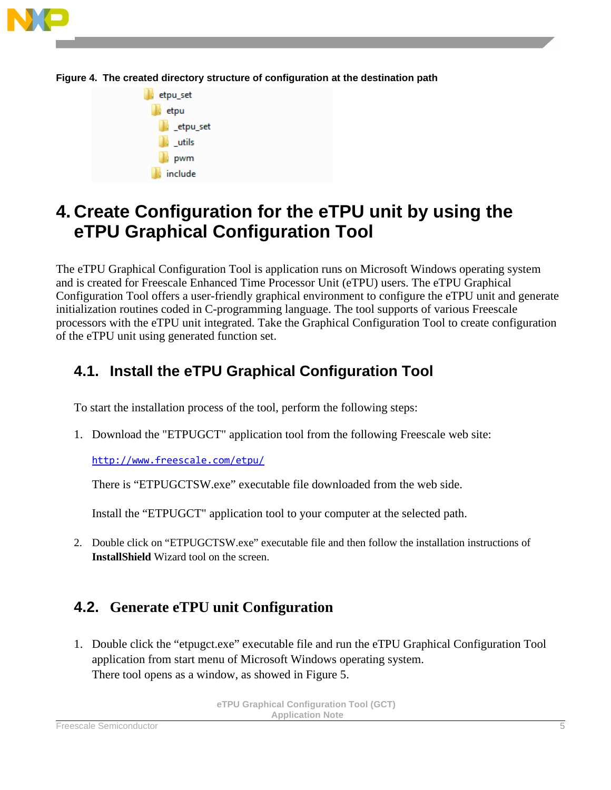





## <span id="page-4-0"></span>**4. Create Configuration for the eTPU unit by using the eTPU Graphical Configuration Tool**

The eTPU Graphical Configuration Tool is application runs on Microsoft Windows operating system and is created for Freescale Enhanced Time Processor Unit (eTPU) users. The eTPU Graphical Configuration Tool offers a user-friendly graphical environment to configure the eTPU unit and generate initialization routines coded in C-programming language. The tool supports of various Freescale processors with the eTPU unit integrated. Take the Graphical Configuration Tool to create configuration of the eTPU unit using generated function set.

## **4.1. Install the eTPU Graphical Configuration Tool**

To start the installation process of the tool, perform the following steps:

1. Download the "ETPUGCT" application tool from the following Freescale web site:

<http://www.freescale.com/etpu/>

There is "ETPUGCTSW exe" executable file downloaded from the web side.

Install the "ETPUGCT" application tool to your computer at the selected path.

2. Double click on "ETPUGCTSW.exe" executable file and then follow the installation instructions of **InstallShield** Wizard tool on the screen.

### **4.2. Generate eTPU unit Configuration**

1. Double click the "etpugct.exe" executable file and run the eTPU Graphical Configuration Tool application from start menu of Microsoft Windows operating system. There tool opens as a window, as showed in Figure 5.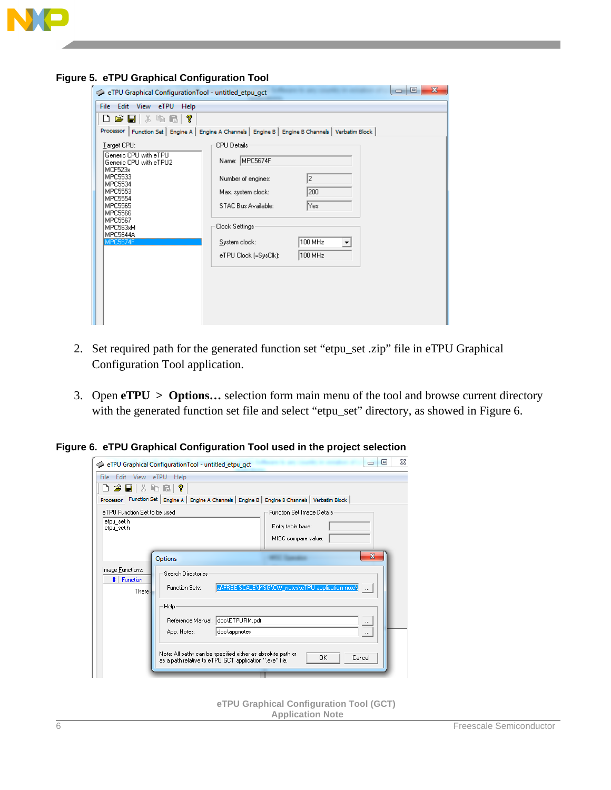

| $\sim$ . $\epsilon$ , $\sigma$ or apmear comguration from |                                                                                                         |
|-----------------------------------------------------------|---------------------------------------------------------------------------------------------------------|
| eTPU Graphical ConfigurationTool - untitled_etpu_gct      | $\overline{\mathbf{x}}$<br>同<br><b>DI</b>                                                               |
| File Edit View eTPU Help                                  |                                                                                                         |
| D & B   & & &   ?                                         |                                                                                                         |
|                                                           | Processor   Function Set   Engine A   Engine A Channels   Engine B   Engine B Channels   Verbatim Block |
| Target CPU:                                               | CPU Details-                                                                                            |
| Generic CPU with eTPU<br>Generic CPU with eTPU2           | Name: MPC5674F                                                                                          |
| MCF523x<br>MPC5533<br>MPC5534                             | 2<br>Number of engines:                                                                                 |
| MPC5553<br>MPC5554                                        | 200<br>Max. system clock:                                                                               |
| MPC5565<br>MPC5566                                        | Yes:<br>STAC Bus Available:                                                                             |
| MPC5567<br>MPC563xM                                       | Clock Settings:                                                                                         |
| MPC5644A<br><b>MPC5674F</b>                               | 100 MHz<br>System clock:<br>۰                                                                           |
|                                                           | 100 MHz<br>eTPU Clock (=SysClk):                                                                        |
|                                                           |                                                                                                         |
|                                                           |                                                                                                         |
|                                                           |                                                                                                         |
|                                                           |                                                                                                         |
|                                                           |                                                                                                         |

**Figure 5. eTPU Graphical Configuration Tool**

- 2. Set required path for the generated function set "etpu\_set .zip" file in eTPU Graphical Configuration Tool application.
- 3. Open **eTPU > Options…** selection form main menu of the tool and browse current directory with the generated function set file and select "etpu\_set" directory, as showed in Figure 6.

**Figure 6. eTPU Graphical Configuration Tool used in the project selection**

| Edit View eTPU<br>File:<br>D 2 8 3 6 6                   | Help<br>- ?                                                                                                                                                                                                                                                                                                                                                                                           |
|----------------------------------------------------------|-------------------------------------------------------------------------------------------------------------------------------------------------------------------------------------------------------------------------------------------------------------------------------------------------------------------------------------------------------------------------------------------------------|
|                                                          | Processor Function Set   Engine A   Engine A Channels   Engine B   Engine B Channels   Verbatim Block                                                                                                                                                                                                                                                                                                 |
| eTPU Function Set to be used<br>etpu_set.h<br>etpu set.h | Function Set Image Details<br>Entry table base:<br>MISC compare value:                                                                                                                                                                                                                                                                                                                                |
| Image Eunctions:<br>$\sharp$   Function<br>There.        | $\overline{\mathbf{x}}$<br>Options<br>Search Directories<br>[aNFREE SCALENMSGNOW_notesNeTPU applicatioin note)<br><b>Function Sets:</b><br>$\sim$<br>Help<br>Reference Manual: doc\ETPURM.pdf<br>$\cdots$<br>doc\appnotes<br>App. Notes:<br>$\cdots$<br>Note: All paths can be specified either as absolute path or<br><b>OK</b><br>Cancel<br>as a path relative to eTPU GCT application ".exe" file. |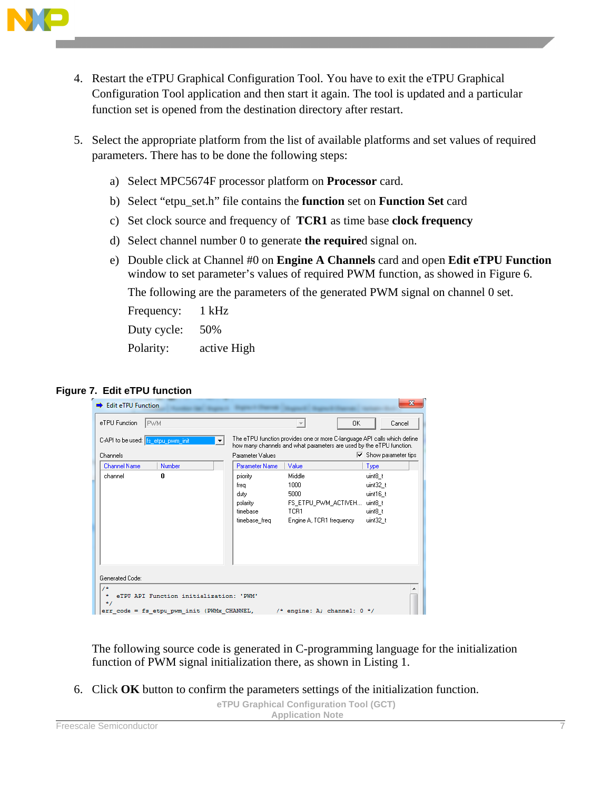

- 4. Restart the eTPU Graphical Configuration Tool. You have to exit the eTPU Graphical Configuration Tool application and then start it again. The tool is updated and a particular function set is opened from the destination directory after restart.
- 5. Select the appropriate platform from the list of available platforms and set values of required parameters. There has to be done the following steps:
	- a) Select MPC5674F processor platform on **Processor** card.
	- b) Select "etpu\_set.h" file contains the **function** set on **Function Set** card
	- c) Set clock source and frequency of **TCR1** as time base **clock frequency**
	- d) Select channel number 0 to generate **the require**d signal on.
	- e) Double click at Channel #0 on **Engine A Channels** card and open **Edit eTPU Function** window to set parameter's values of required PWM function, as showed in Figure 6.

The following are the parameters of the generated PWM signal on channel 0 set.

Frequency: 1 kHz Duty cycle: 50%

Polarity: active High

#### **Figure 7. Edit eTPU function**

| eTPU Function<br>IPWM.                                                                                                       |                                                                    | 0K                                                                                                                                               | Cancel                                                            |
|------------------------------------------------------------------------------------------------------------------------------|--------------------------------------------------------------------|--------------------------------------------------------------------------------------------------------------------------------------------------|-------------------------------------------------------------------|
| C-API to be used: fs_etpu_pwm_init<br>$\overline{\phantom{a}}$                                                               |                                                                    | The eTPU function provides one or more C-language API calls which define<br>how many channels and what parameters are used by the eTPU function. |                                                                   |
| Channels                                                                                                                     | Parameter Values                                                   |                                                                                                                                                  | $\overline{\triangledown}$ Show parameter tips                    |
| <b>Channel Name</b><br>Number                                                                                                | <b>Parameter Name</b>                                              | Value                                                                                                                                            | Type                                                              |
| 0<br>channel                                                                                                                 | priority<br>frea<br>duty.<br>polarity<br>timebase<br>timebase_freq | Middle<br>1000<br>5000<br>FS ETPU PWM ACTIVEH<br>TCR1<br>Engine A, TCR1 frequency                                                                | uint8 t<br>uint32 t<br>uint16_t<br>uint8 t<br>uint8 t<br>uint32_t |
| Generated Code:<br>74<br>eTPU API Function initialization: 'PWM'<br>$^{\star}$<br>err code = fs etpu pwm init (PWMx CHANNEL, |                                                                    | /* engine: A; channel: $0$ */                                                                                                                    |                                                                   |

The following source code is generated in C-programming language for the initialization function of PWM signal initialization there, as shown in Listing 1.

6. Click **OK** button to confirm the parameters settings of the initialization function.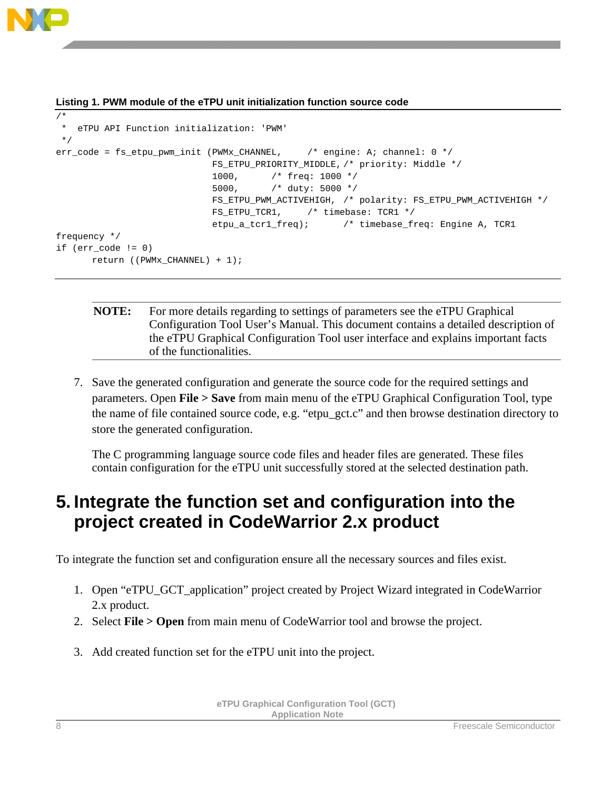

frequency \*/

if (err\_code != 0)

return ((PWMx\_CHANNEL) + 1);

```
/* 
* eTPU API Function initialization: 'PWM'
*/
err_code = fs_etpu_pwm_init (PWMx_CHANNEL, \qquad /* engine: A; channel: 0 */
                             FS_ETPU_PRIORITY_MIDDLE, /* priority: Middle */
                              1000, /* freq: 1000 */
                             5000, /* duty: 5000 */
                            FS_ETPU_PWM_ACTIVEHIGH, /* polarity: FS_ETPU_PWM_ACTIVEHIGH */
```
#### **Listing 1. PWM module of the eTPU unit initialization function source code**

```
NOTE: For more details regarding to settings of parameters see the eTPU Graphical 
           Configuration Tool User's Manual. This document contains a detailed description of 
           the eTPU Graphical Configuration Tool user interface and explains important facts 
           of the functionalities.
```
FS\_ETPU\_TCR1, /\* timebase: TCR1 \*/

etpu\_a\_tcr1\_freq); /\* timebase\_freq: Engine A, TCR1

7. Save the generated configuration and generate the source code for the required settings and parameters. Open **File > Save** from main menu of the eTPU Graphical Configuration Tool, type the name of file contained source code, e.g. "etpu\_gct.c" and then browse destination directory to store the generated configuration.

The C programming language source code files and header files are generated. These files contain configuration for the eTPU unit successfully stored at the selected destination path.

## <span id="page-7-0"></span>**5. Integrate the function set and configuration into the project created in CodeWarrior 2.x product**

To integrate the function set and configuration ensure all the necessary sources and files exist.

- 1. Open "eTPU\_GCT\_application" project created by Project Wizard integrated in CodeWarrior 2.x product.
- 2. Select **File > Open** from main menu of CodeWarrior tool and browse the project.
- 3. Add created function set for the eTPU unit into the project.

```
eTPU Graphical Configuration Tool (GCT)
           Application Note
```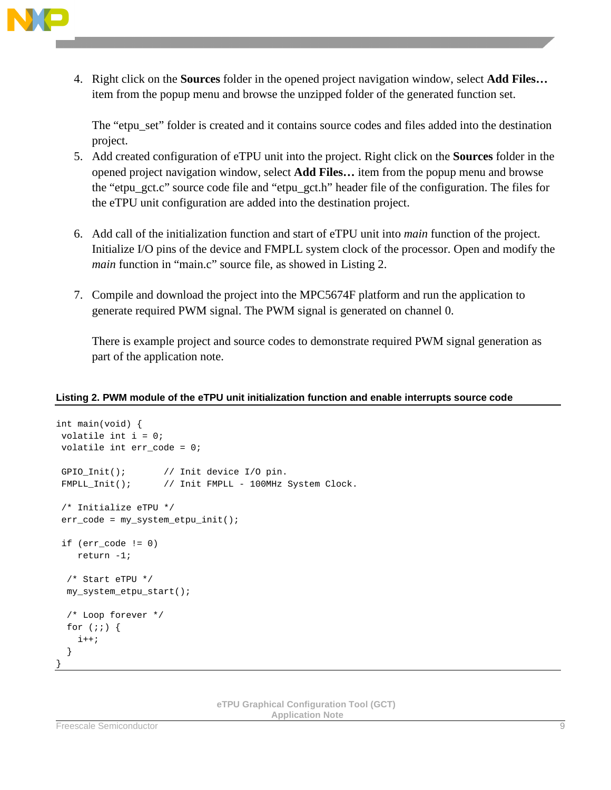

4. Right click on the **Sources** folder in the opened project navigation window, select **Add Files…** item from the popup menu and browse the unzipped folder of the generated function set.

The "etpu\_set" folder is created and it contains source codes and files added into the destination project.

- 5. Add created configuration of eTPU unit into the project. Right click on the **Sources** folder in the opened project navigation window, select **Add Files…** item from the popup menu and browse the "etpu\_gct.c" source code file and "etpu\_gct.h" header file of the configuration. The files for the eTPU unit configuration are added into the destination project.
- 6. Add call of the initialization function and start of eTPU unit into *main* function of the project. Initialize I/O pins of the device and FMPLL system clock of the processor. Open and modify the *main* function in "main.c" source file, as showed in Listing 2.
- 7. Compile and download the project into the MPC5674F platform and run the application to generate required PWM signal. The PWM signal is generated on channel 0.

There is example project and source codes to demonstrate required PWM signal generation as part of the application note.

#### **Listing 2. PWM module of the eTPU unit initialization function and enable interrupts source code**

```
int main(void) {
volatile int i = 0;
volatile int err_code = 0;
GPIO_Init(); \qquad // Init device I/O pin.
FMPLL_Init(); \qquad // Init FMPLL - 100MHz System Clock.
/* Initialize eTPU */
err_code = my_system_etpu_init();
if (err_code != 0) 
    return -1;
   /* Start eTPU */
  my_system_etpu_start();
  /* Loop forever */
 for (i; j) {
    i++; }
}
```